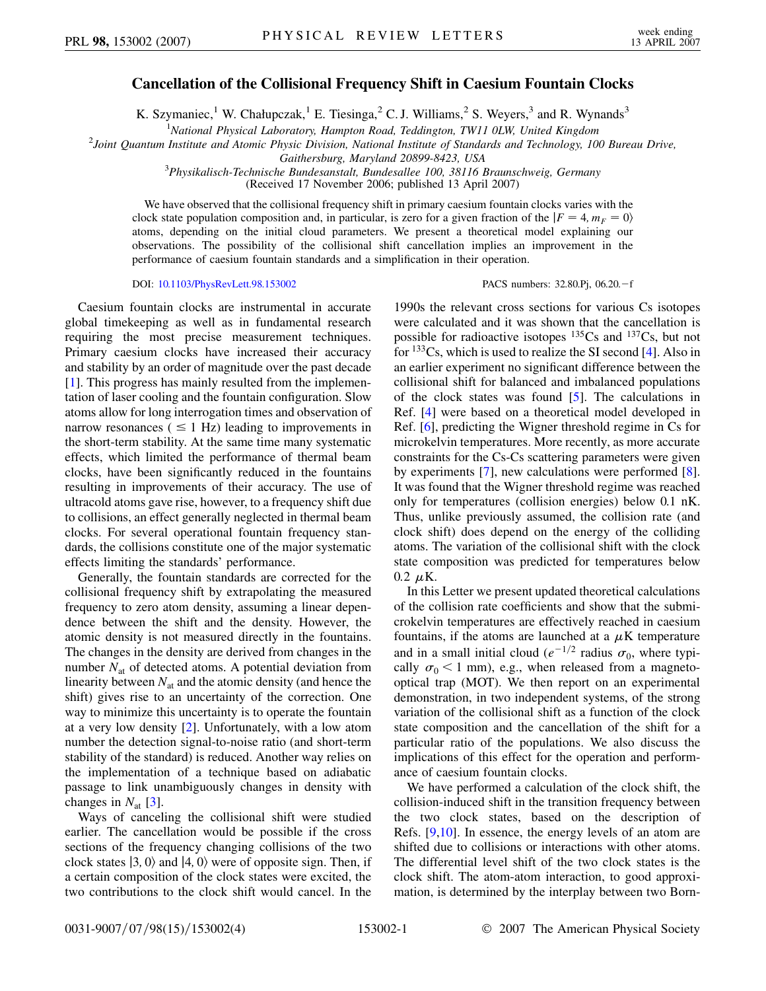## **Cancellation of the Collisional Frequency Shift in Caesium Fountain Clocks**

K. Szymaniec,<sup>1</sup> W. Chałupczak,<sup>1</sup> E. Tiesinga,<sup>2</sup> C. J. Williams,<sup>2</sup> S. Weyers,<sup>3</sup> and R. Wynands<sup>3</sup>

<sup>1</sup>National Physical Laboratory, Hampton Road, Teddington, TW11 0LW, United Kingdom

*National Physical Laboratory, Hampton Road, Teddington, TW11 0LW, United Kingdom* <sup>2</sup> *Joint Quantum Institute and Atomic Physic Division, National Institute of Standards and Technology, 100 Bureau Drive,*

*Gaithersburg, Maryland 20899-8423, USA* <sup>3</sup> *Physikalisch-Technische Bundesanstalt, Bundesallee 100, 38116 Braunschweig, Germany*

(Received 17 November 2006; published 13 April 2007)

We have observed that the collisional frequency shift in primary caesium fountain clocks varies with the clock state population composition and, in particular, is zero for a given fraction of the  $|F = 4, m_F = 0\rangle$ atoms, depending on the initial cloud parameters. We present a theoretical model explaining our observations. The possibility of the collisional shift cancellation implies an improvement in the performance of caesium fountain standards and a simplification in their operation.

DOI: [10.1103/PhysRevLett.98.153002](http://dx.doi.org/10.1103/PhysRevLett.98.153002)

PACS numbers: 32.80.Pj, 06.20.-f

Caesium fountain clocks are instrumental in accurate global timekeeping as well as in fundamental research requiring the most precise measurement techniques. Primary caesium clocks have increased their accuracy and stability by an order of magnitude over the past decade [\[1\]](#page-3-0). This progress has mainly resulted from the implementation of laser cooling and the fountain configuration. Slow atoms allow for long interrogation times and observation of narrow resonances ( $\leq 1$  Hz) leading to improvements in the short-term stability. At the same time many systematic effects, which limited the performance of thermal beam clocks, have been significantly reduced in the fountains resulting in improvements of their accuracy. The use of ultracold atoms gave rise, however, to a frequency shift due to collisions, an effect generally neglected in thermal beam clocks. For several operational fountain frequency standards, the collisions constitute one of the major systematic effects limiting the standards' performance.

Generally, the fountain standards are corrected for the collisional frequency shift by extrapolating the measured frequency to zero atom density, assuming a linear dependence between the shift and the density. However, the atomic density is not measured directly in the fountains. The changes in the density are derived from changes in the number  $N_{at}$  of detected atoms. A potential deviation from linearity between  $N_{at}$  and the atomic density (and hence the shift) gives rise to an uncertainty of the correction. One way to minimize this uncertainty is to operate the fountain at a very low density [[2\]](#page-3-1). Unfortunately, with a low atom number the detection signal-to-noise ratio (and short-term stability of the standard) is reduced. Another way relies on the implementation of a technique based on adiabatic passage to link unambiguously changes in density with changes in  $N_{\text{at}}$  [[3](#page-3-2)].

Ways of canceling the collisional shift were studied earlier. The cancellation would be possible if the cross sections of the frequency changing collisions of the two clock states  $|3, 0\rangle$  and  $|4, 0\rangle$  were of opposite sign. Then, if a certain composition of the clock states were excited, the two contributions to the clock shift would cancel. In the

1990s the relevant cross sections for various Cs isotopes were calculated and it was shown that the cancellation is possible for radioactive isotopes  $^{135}Cs$  and  $^{137}Cs$ , but not for  $133Cs$ , which is used to realize the SI second [[4\]](#page-3-3). Also in an earlier experiment no significant difference between the collisional shift for balanced and imbalanced populations of the clock states was found [\[5](#page-3-4)]. The calculations in Ref. [\[4](#page-3-3)] were based on a theoretical model developed in Ref. [\[6](#page-3-5)], predicting the Wigner threshold regime in Cs for microkelvin temperatures. More recently, as more accurate constraints for the Cs-Cs scattering parameters were given by experiments [\[7\]](#page-3-6), new calculations were performed [[8\]](#page-3-7). It was found that the Wigner threshold regime was reached only for temperatures (collision energies) below 0.1 nK. Thus, unlike previously assumed, the collision rate (and clock shift) does depend on the energy of the colliding atoms. The variation of the collisional shift with the clock state composition was predicted for temperatures below  $0.2 \mu K$ .

In this Letter we present updated theoretical calculations of the collision rate coefficients and show that the submicrokelvin temperatures are effectively reached in caesium fountains, if the atoms are launched at a  $\mu$ K temperature and in a small initial cloud ( $e^{-1/2}$  radius  $\sigma_0$ , where typically  $\sigma_0$  < 1 mm), e.g., when released from a magnetooptical trap (MOT). We then report on an experimental demonstration, in two independent systems, of the strong variation of the collisional shift as a function of the clock state composition and the cancellation of the shift for a particular ratio of the populations. We also discuss the implications of this effect for the operation and performance of caesium fountain clocks.

We have performed a calculation of the clock shift, the collision-induced shift in the transition frequency between the two clock states, based on the description of Refs. [[9](#page-3-8)[,10\]](#page-3-9). In essence, the energy levels of an atom are shifted due to collisions or interactions with other atoms. The differential level shift of the two clock states is the clock shift. The atom-atom interaction, to good approximation, is determined by the interplay between two Born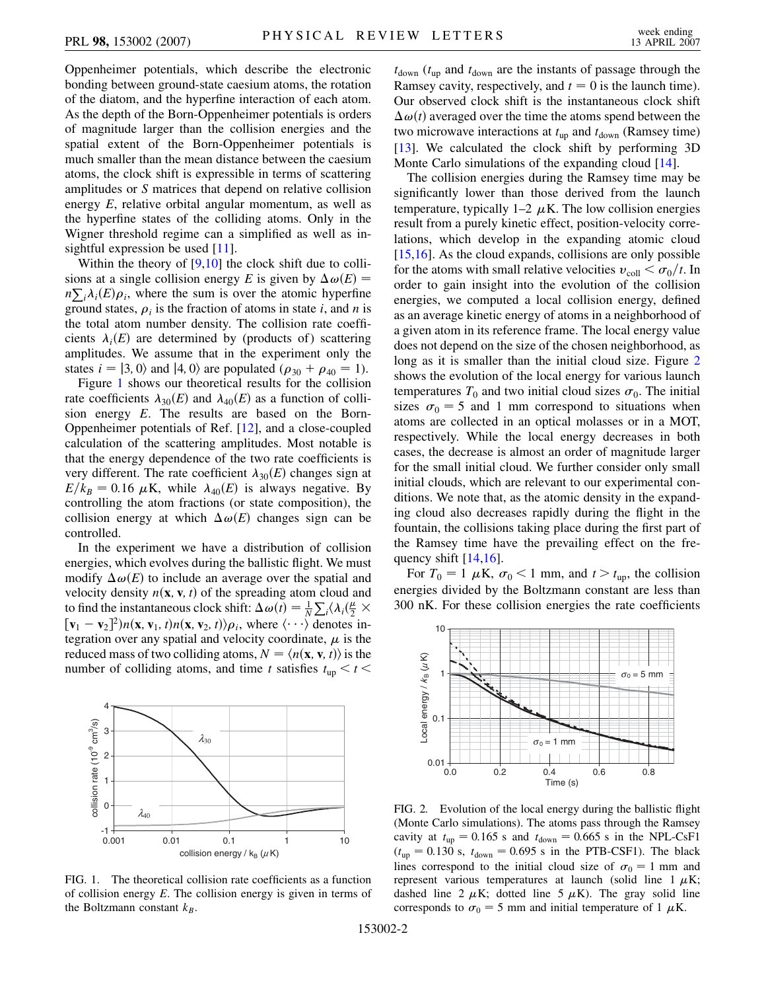Oppenheimer potentials, which describe the electronic bonding between ground-state caesium atoms, the rotation of the diatom, and the hyperfine interaction of each atom. As the depth of the Born-Oppenheimer potentials is orders of magnitude larger than the collision energies and the spatial extent of the Born-Oppenheimer potentials is much smaller than the mean distance between the caesium atoms, the clock shift is expressible in terms of scattering amplitudes or *S* matrices that depend on relative collision energy *E*, relative orbital angular momentum, as well as the hyperfine states of the colliding atoms. Only in the Wigner threshold regime can a simplified as well as insightful expression be used [\[11\]](#page-3-10).

Within the theory of [\[9](#page-3-8),[10](#page-3-9)] the clock shift due to collisions at a single collision energy *E* is given by  $\Delta \omega(E)$  =  $n\sum_i \lambda_i(E)\rho_i$ , where the sum is over the atomic hyperfine ground states,  $\rho_i$  is the fraction of atoms in state *i*, and *n* is the total atom number density. The collision rate coefficients  $\lambda_i(E)$  are determined by (products of) scattering amplitudes. We assume that in the experiment only the states  $i = |3, 0\rangle$  and  $|4, 0\rangle$  are populated ( $\rho_{30} + \rho_{40} = 1$ ).

Figure [1](#page-1-0) shows our theoretical results for the collision rate coefficients  $\lambda_{30}(E)$  and  $\lambda_{40}(E)$  as a function of collision energy *E*. The results are based on the Born-Oppenheimer potentials of Ref. [[12](#page-3-11)], and a close-coupled calculation of the scattering amplitudes. Most notable is that the energy dependence of the two rate coefficients is very different. The rate coefficient  $\lambda_{30}(E)$  changes sign at  $E/k_B = 0.16 \mu K$ , while  $\lambda_{40}(E)$  is always negative. By controlling the atom fractions (or state composition), the collision energy at which  $\Delta \omega(E)$  changes sign can be controlled.

In the experiment we have a distribution of collision energies, which evolves during the ballistic flight. We must modify  $\Delta \omega(E)$  to include an average over the spatial and velocity density  $n(\mathbf{x}, \mathbf{v}, t)$  of the spreading atom cloud and to find the instantaneous clock shift:  $\Delta \omega(t) = \frac{1}{N}$  $\sum_i \langle \lambda_i (\frac{\mu}{2} \times$  $[\mathbf{v}_1 - \mathbf{v}_2]^2$ ) $n(\mathbf{x}, \mathbf{v}_1, t) n(\mathbf{x}, \mathbf{v}_2, t)$ ) $\rho_i$ , where  $\langle \cdots \rangle$  denotes integration over any spatial and velocity coordinate,  $\mu$  is the reduced mass of two colliding atoms,  $N = \langle n(\mathbf{x}, \mathbf{v}, t) \rangle$  is the number of colliding atoms, and time *t* satisfies  $t_{\text{up}} < t <$ 

<span id="page-1-0"></span>

FIG. 1. The theoretical collision rate coefficients as a function of collision energy *E*. The collision energy is given in terms of the Boltzmann constant  $k_B$ .

 $t_{\text{down}}$  ( $t_{\text{up}}$  and  $t_{\text{down}}$  are the instants of passage through the Ramsey cavity, respectively, and  $t = 0$  is the launch time). Our observed clock shift is the instantaneous clock shift  $\Delta \omega(t)$  averaged over the time the atoms spend between the two microwave interactions at  $t_{\text{up}}$  and  $t_{\text{down}}$  (Ramsey time) [\[13\]](#page-3-12). We calculated the clock shift by performing 3D Monte Carlo simulations of the expanding cloud [\[14\]](#page-3-13).

The collision energies during the Ramsey time may be significantly lower than those derived from the launch temperature, typically  $1-2 \mu K$ . The low collision energies result from a purely kinetic effect, position-velocity correlations, which develop in the expanding atomic cloud  $[15,16]$  $[15,16]$ . As the cloud expands, collisions are only possible for the atoms with small relative velocities  $v_{\text{coll}} < \sigma_0/t$ . In order to gain insight into the evolution of the collision energies, we computed a local collision energy, defined as an average kinetic energy of atoms in a neighborhood of a given atom in its reference frame. The local energy value does not depend on the size of the chosen neighborhood, as long as it is smaller than the initial cloud size. Figure [2](#page-1-1) shows the evolution of the local energy for various launch temperatures  $T_0$  and two initial cloud sizes  $\sigma_0$ . The initial sizes  $\sigma_0 = 5$  and 1 mm correspond to situations when atoms are collected in an optical molasses or in a MOT, respectively. While the local energy decreases in both cases, the decrease is almost an order of magnitude larger for the small initial cloud. We further consider only small initial clouds, which are relevant to our experimental conditions. We note that, as the atomic density in the expanding cloud also decreases rapidly during the flight in the fountain, the collisions taking place during the first part of the Ramsey time have the prevailing effect on the frequency shift [\[14](#page-3-13)[,16\]](#page-3-15).

For  $T_0 = 1 \mu K$ ,  $\sigma_0 < 1 \text{ mm}$ , and  $t > t_{up}$ , the collision energies divided by the Boltzmann constant are less than 300 nK. For these collision energies the rate coefficients

<span id="page-1-1"></span>

FIG. 2. Evolution of the local energy during the ballistic flight (Monte Carlo simulations). The atoms pass through the Ramsey cavity at  $t_{\text{up}} = 0.165$  s and  $t_{\text{down}} = 0.665$  s in the NPL-CsF1  $(t_{\text{up}} = 0.130 \text{ s}, t_{\text{down}} = 0.695 \text{ s} \text{ in the PTB-CSF1}.$  The black lines correspond to the initial cloud size of  $\sigma_0 = 1$  mm and represent various temperatures at launch (solid line  $1 \mu K$ ; dashed line 2  $\mu$ K; dotted line 5  $\mu$ K). The gray solid line corresponds to  $\sigma_0 = 5$  mm and initial temperature of 1  $\mu$ K.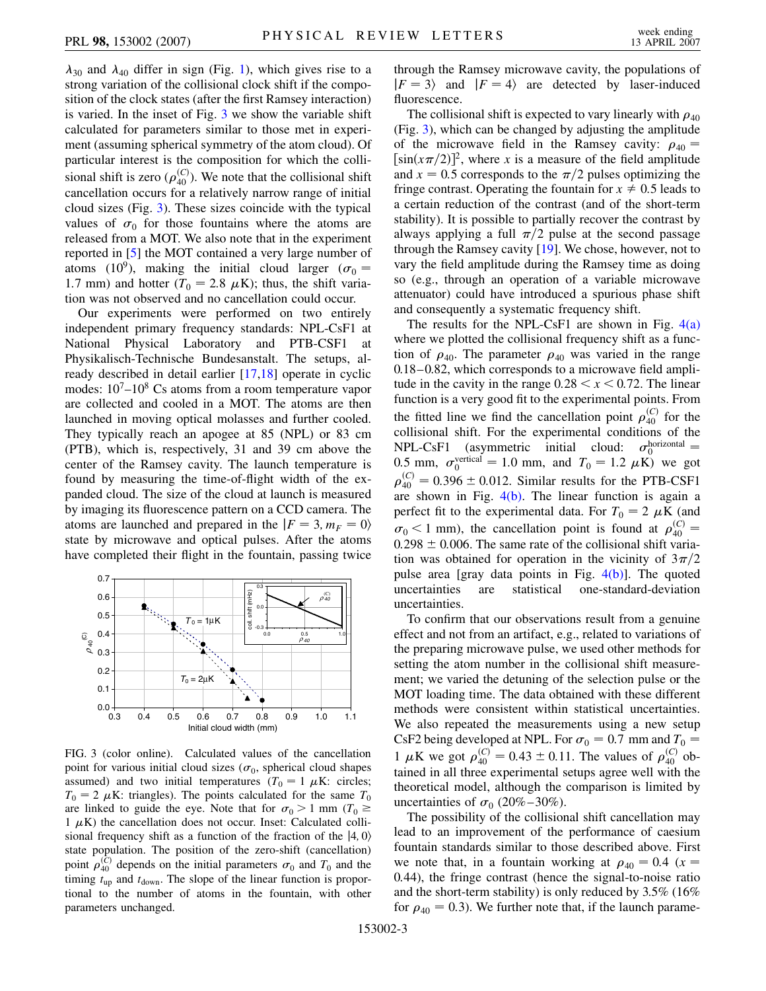$\lambda_{30}$  and  $\lambda_{40}$  differ in sign (Fig. [1](#page-1-0)), which gives rise to a strong variation of the collisional clock shift if the composition of the clock states (after the first Ramsey interaction) is varied. In the inset of Fig. [3](#page-2-0) we show the variable shift calculated for parameters similar to those met in experiment (assuming spherical symmetry of the atom cloud). Of particular interest is the composition for which the collisional shift is zero  $(\rho_{40}^{(C)})$ . We note that the collisional shift cancellation occurs for a relatively narrow range of initial cloud sizes (Fig. [3\)](#page-2-0). These sizes coincide with the typical values of  $\sigma_0$  for those fountains where the atoms are released from a MOT. We also note that in the experiment reported in [\[5](#page-3-4)] the MOT contained a very large number of atoms (10<sup>9</sup>), making the initial cloud larger ( $\sigma_0 =$ 1.7 mm) and hotter ( $T_0 = 2.8 \mu K$ ); thus, the shift variation was not observed and no cancellation could occur.

Our experiments were performed on two entirely independent primary frequency standards: NPL-CsF1 at National Physical Laboratory and PTB-CSF1 at Physikalisch-Technische Bundesanstalt. The setups, already described in detail earlier [\[17,](#page-3-16)[18\]](#page-3-17) operate in cyclic modes:  $10<sup>7</sup> - 10<sup>8</sup>$  Cs atoms from a room temperature vapor are collected and cooled in a MOT. The atoms are then launched in moving optical molasses and further cooled. They typically reach an apogee at 85 (NPL) or 83 cm (PTB), which is, respectively, 31 and 39 cm above the center of the Ramsey cavity. The launch temperature is found by measuring the time-of-flight width of the expanded cloud. The size of the cloud at launch is measured by imaging its fluorescence pattern on a CCD camera. The atoms are launched and prepared in the  $|F = 3, m_F = 0\rangle$ state by microwave and optical pulses. After the atoms have completed their flight in the fountain, passing twice

<span id="page-2-0"></span>

FIG. 3 (color online). Calculated values of the cancellation point for various initial cloud sizes  $(\sigma_0)$ , spherical cloud shapes assumed) and two initial temperatures ( $T_0 = 1 \mu K$ : circles;  $T_0 = 2 \mu$ K: triangles). The points calculated for the same  $T_0$ are linked to guide the eye. Note that for  $\sigma_0 > 1$  mm ( $T_0 \ge$  $1 \mu K$ ) the cancellation does not occur. Inset: Calculated collisional frequency shift as a function of the fraction of the  $|4, 0\rangle$ state population. The position of the zero-shift (cancellation) point  $\rho_{40}^{(C)}$  depends on the initial parameters  $\sigma_0$  and  $T_0$  and the timing  $t_{\text{up}}$  and  $t_{\text{down}}$ . The slope of the linear function is proportional to the number of atoms in the fountain, with other parameters unchanged.

through the Ramsey microwave cavity, the populations of  $|F = 3\rangle$  and  $|F = 4\rangle$  are detected by laser-induced fluorescence.

The collisional shift is expected to vary linearly with  $\rho_{40}$ (Fig. [3\)](#page-2-0), which can be changed by adjusting the amplitude of the microwave field in the Ramsey cavity:  $\rho_{40}$  =  $\left[\sin(x\pi/2)\right]^2$ , where *x* is a measure of the field amplitude and  $x = 0.5$  corresponds to the  $\pi/2$  pulses optimizing the fringe contrast. Operating the fountain for  $x \neq 0.5$  leads to a certain reduction of the contrast (and of the short-term stability). It is possible to partially recover the contrast by always applying a full  $\pi/2$  pulse at the second passage through the Ramsey cavity [\[19\]](#page-3-18). We chose, however, not to vary the field amplitude during the Ramsey time as doing so (e.g., through an operation of a variable microwave attenuator) could have introduced a spurious phase shift and consequently a systematic frequency shift.

The results for the NPL-CsF1 are shown in Fig.  $4(a)$ where we plotted the collisional frequency shift as a function of  $\rho_{40}$ . The parameter  $\rho_{40}$  was varied in the range 0.18–0.82, which corresponds to a microwave field amplitude in the cavity in the range  $0.28 < x < 0.72$ . The linear function is a very good fit to the experimental points. From the fitted line we find the cancellation point  $\rho_{40}^{(C)}$  for the collisional shift. For the experimental conditions of the  $NPL-CSF1$  (asymmetric initial cloud:  $\sigma_0^{\text{horizontal}} =$ 0.5 mm,  $\sigma_0^{\text{vertical}} = 1.0$  mm, and  $T_0 = 1.2 \mu \text{K}$ ) we got  $\rho_{40}^{(C)} = 0.396 \pm 0.012$ . Similar results for the PTB-CSF1 are shown in Fig.  $4(b)$ . The linear function is again a perfect fit to the experimental data. For  $T_0 = 2 \mu K$  (and  $\sigma_0$  < 1 mm), the cancellation point is found at  $\rho_{40}^{(C)}$  =  $0.298 \pm 0.006$ . The same rate of the collisional shift variation was obtained for operation in the vicinity of  $3\pi/2$ pulse area [gray data points in Fig.  $4(b)$ ]. The quoted uncertainties are statistical one-standard-deviation uncertainties.

To confirm that our observations result from a genuine effect and not from an artifact, e.g., related to variations of the preparing microwave pulse, we used other methods for setting the atom number in the collisional shift measurement; we varied the detuning of the selection pulse or the MOT loading time. The data obtained with these different methods were consistent within statistical uncertainties. We also repeated the measurements using a new setup CsF2 being developed at NPL. For  $\sigma_0 = 0.7 \text{ mm}$  and  $T_0 =$ 1  $\mu$ K we got  $\rho_{40}^{(C)} = 0.43 \pm 0.11$ . The values of  $\rho_{40}^{(C)}$  obtained in all three experimental setups agree well with the theoretical model, although the comparison is limited by uncertainties of  $\sigma_0$  (20%–30%).

The possibility of the collisional shift cancellation may lead to an improvement of the performance of caesium fountain standards similar to those described above. First we note that, in a fountain working at  $\rho_{40} = 0.4$  ( $x =$ 0*:*44), the fringe contrast (hence the signal-to-noise ratio and the short-term stability) is only reduced by 3.5% (16% for  $\rho_{40} = 0.3$ ). We further note that, if the launch parame-